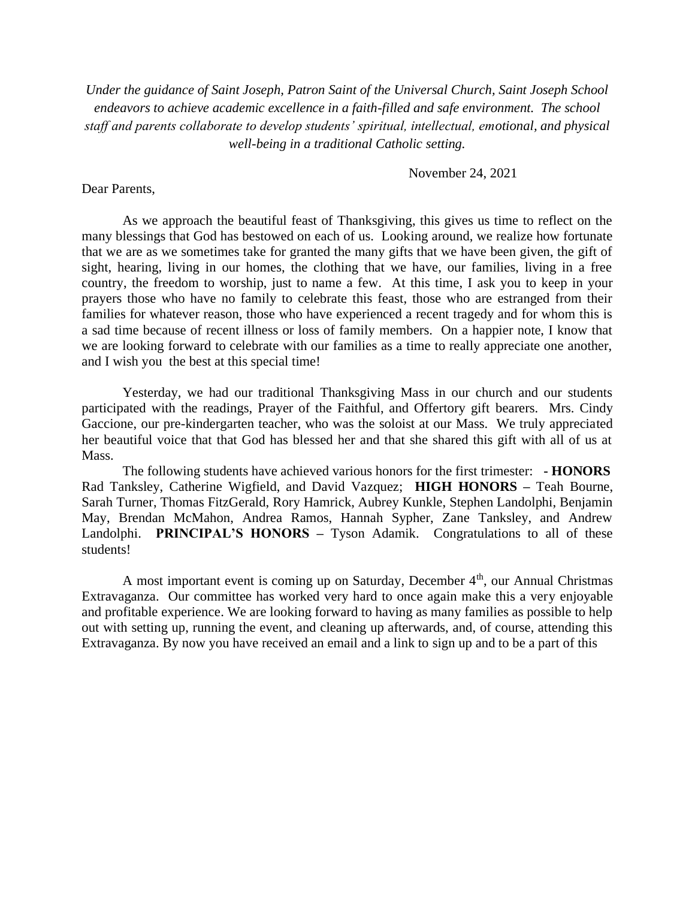*Under the guidance of Saint Joseph, Patron Saint of the Universal Church, Saint Joseph School endeavors to achieve academic excellence in a faith-filled and safe environment. The school staff and parents collaborate to develop students' spiritual, intellectual, emotional, and physical well-being in a traditional Catholic setting.*

November 24, 2021

## Dear Parents,

As we approach the beautiful feast of Thanksgiving, this gives us time to reflect on the many blessings that God has bestowed on each of us. Looking around, we realize how fortunate that we are as we sometimes take for granted the many gifts that we have been given, the gift of sight, hearing, living in our homes, the clothing that we have, our families, living in a free country, the freedom to worship, just to name a few. At this time, I ask you to keep in your prayers those who have no family to celebrate this feast, those who are estranged from their families for whatever reason, those who have experienced a recent tragedy and for whom this is a sad time because of recent illness or loss of family members. On a happier note, I know that we are looking forward to celebrate with our families as a time to really appreciate one another, and I wish you the best at this special time!

Yesterday, we had our traditional Thanksgiving Mass in our church and our students participated with the readings, Prayer of the Faithful, and Offertory gift bearers. Mrs. Cindy Gaccione, our pre-kindergarten teacher, who was the soloist at our Mass. We truly appreciated her beautiful voice that that God has blessed her and that she shared this gift with all of us at Mass.

The following students have achieved various honors for the first trimester: **- HONORS** Rad Tanksley, Catherine Wigfield, and David Vazquez; **HIGH HONORS –** Teah Bourne, Sarah Turner, Thomas FitzGerald, Rory Hamrick, Aubrey Kunkle, Stephen Landolphi, Benjamin May, Brendan McMahon, Andrea Ramos, Hannah Sypher, Zane Tanksley, and Andrew Landolphi. **PRINCIPAL'S HONORS** – Tyson Adamik. Congratulations to all of these students!

A most important event is coming up on Saturday, December  $4<sup>th</sup>$ , our Annual Christmas Extravaganza. Our committee has worked very hard to once again make this a very enjoyable and profitable experience. We are looking forward to having as many families as possible to help out with setting up, running the event, and cleaning up afterwards, and, of course, attending this Extravaganza. By now you have received an email and a link to sign up and to be a part of this